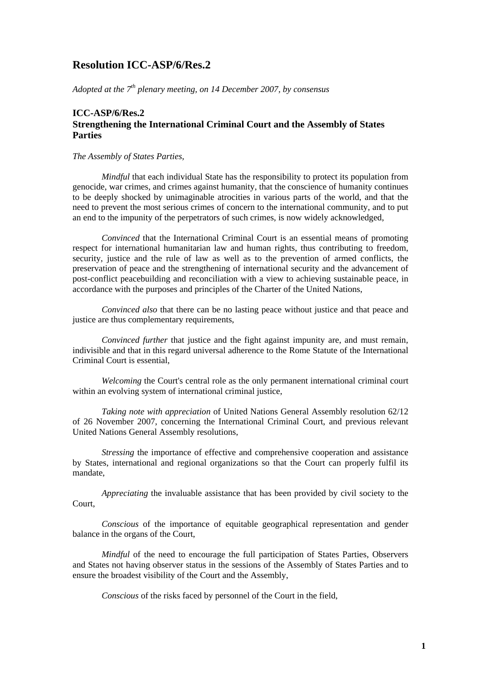## **Resolution ICC-ASP/6/Res.2**

*Adopted at the 7th plenary meeting, on 14 December 2007, by consensus* 

## **ICC-ASP/6/Res.2 Strengthening the International Criminal Court and the Assembly of States Parties**

*The Assembly of States Parties,* 

*Mindful* that each individual State has the responsibility to protect its population from genocide, war crimes, and crimes against humanity, that the conscience of humanity continues to be deeply shocked by unimaginable atrocities in various parts of the world, and that the need to prevent the most serious crimes of concern to the international community, and to put an end to the impunity of the perpetrators of such crimes, is now widely acknowledged,

*Convinced* that the International Criminal Court is an essential means of promoting respect for international humanitarian law and human rights, thus contributing to freedom, security, justice and the rule of law as well as to the prevention of armed conflicts, the preservation of peace and the strengthening of international security and the advancement of post-conflict peacebuilding and reconciliation with a view to achieving sustainable peace, in accordance with the purposes and principles of the Charter of the United Nations,

*Convinced also* that there can be no lasting peace without justice and that peace and justice are thus complementary requirements,

*Convinced further* that justice and the fight against impunity are, and must remain, indivisible and that in this regard universal adherence to the Rome Statute of the International Criminal Court is essential,

*Welcoming* the Court's central role as the only permanent international criminal court within an evolving system of international criminal justice,

*Taking note with appreciation* of United Nations General Assembly resolution 62/12 of 26 November 2007, concerning the International Criminal Court, and previous relevant United Nations General Assembly resolutions,

*Stressing* the importance of effective and comprehensive cooperation and assistance by States, international and regional organizations so that the Court can properly fulfil its mandate,

*Appreciating* the invaluable assistance that has been provided by civil society to the Court,

*Conscious* of the importance of equitable geographical representation and gender balance in the organs of the Court,

*Mindful* of the need to encourage the full participation of States Parties, Observers and States not having observer status in the sessions of the Assembly of States Parties and to ensure the broadest visibility of the Court and the Assembly,

*Conscious* of the risks faced by personnel of the Court in the field,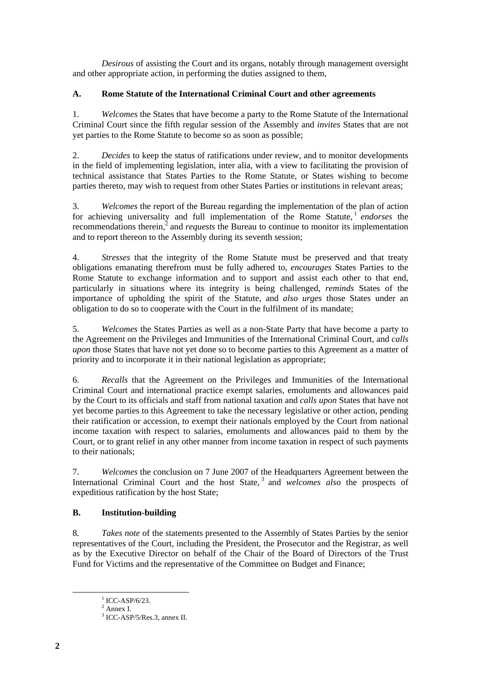*Desirous* of assisting the Court and its organs, notably through management oversight and other appropriate action, in performing the duties assigned to them,

## **A. Rome Statute of the International Criminal Court and other agreements**

1. *Welcomes* the States that have become a party to the Rome Statute of the International Criminal Court since the fifth regular session of the Assembly and *invites* States that are not yet parties to the Rome Statute to become so as soon as possible;

2. *Decides* to keep the status of ratifications under review, and to monitor developments in the field of implementing legislation, inter alia, with a view to facilitating the provision of technical assistance that States Parties to the Rome Statute, or States wishing to become parties thereto, may wish to request from other States Parties or institutions in relevant areas;

3. *Welcomes* the report of the Bureau regarding the implementation of the plan of action for achieving universality and full implementation of the Rome Statute,<sup>1</sup> *endorses* the recommendations therein,<sup> $2$ </sup> and *requests* the Bureau to continue to monitor its implementation and to report thereon to the Assembly during its seventh session;

4. *Stresses* that the integrity of the Rome Statute must be preserved and that treaty obligations emanating therefrom must be fully adhered to, *encourages* States Parties to the Rome Statute to exchange information and to support and assist each other to that end, particularly in situations where its integrity is being challenged, *reminds* States of the importance of upholding the spirit of the Statute, and *also urges* those States under an obligation to do so to cooperate with the Court in the fulfilment of its mandate;

5. *Welcomes* the States Parties as well as a non-State Party that have become a party to the Agreement on the Privileges and Immunities of the International Criminal Court, and *calls upon* those States that have not yet done so to become parties to this Agreement as a matter of priority and to incorporate it in their national legislation as appropriate;

6. *Recalls* that the Agreement on the Privileges and Immunities of the International Criminal Court and international practice exempt salaries, emoluments and allowances paid by the Court to its officials and staff from national taxation and *calls upon* States that have not yet become parties to this Agreement to take the necessary legislative or other action, pending their ratification or accession, to exempt their nationals employed by the Court from national income taxation with respect to salaries, emoluments and allowances paid to them by the Court, or to grant relief in any other manner from income taxation in respect of such payments to their nationals;

7. *Welcomes* the conclusion on 7 June 2007 of the Headquarters Agreement between the International Criminal Court and the host State,<sup>3</sup> and *welcomes also* the prospects of expeditious ratification by the host State;

## **B. Institution-building**

8. *Takes note* of the statements presented to the Assembly of States Parties by the senior representatives of the Court, including the President, the Prosecutor and the Registrar, as well as by the Executive Director on behalf of the Chair of the Board of Directors of the Trust Fund for Victims and the representative of the Committee on Budget and Finance;

<sup>&</sup>lt;u>1</u>  $1$  ICC-ASP/6/23.

 $2$  Annex I.

<sup>3</sup> ICC-ASP/5/Res.3, annex II.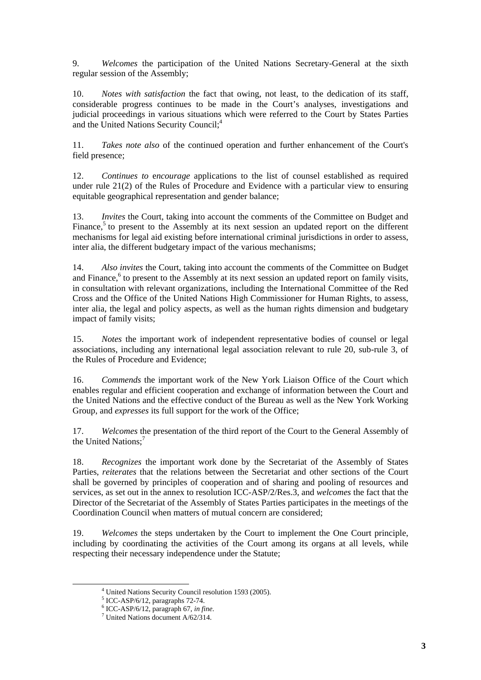9. *Welcomes* the participation of the United Nations Secretary-General at the sixth regular session of the Assembly;

10. *Notes with satisfaction* the fact that owing, not least, to the dedication of its staff, considerable progress continues to be made in the Court's analyses, investigations and judicial proceedings in various situations which were referred to the Court by States Parties and the United Nations Security Council;<sup>4</sup>

11. *Takes note also* of the continued operation and further enhancement of the Court's field presence;

12. *Continues to* e*ncourage* applications to the list of counsel established as required under rule 21(2) of the Rules of Procedure and Evidence with a particular view to ensuring equitable geographical representation and gender balance;

13. *Invites* the Court, taking into account the comments of the Committee on Budget and Finance,<sup>5</sup> to present to the Assembly at its next session an updated report on the different mechanisms for legal aid existing before international criminal jurisdictions in order to assess, inter alia, the different budgetary impact of the various mechanisms;

14. *Also invites* the Court, taking into account the comments of the Committee on Budget and Finance,<sup>6</sup> to present to the Assembly at its next session an updated report on family visits, in consultation with relevant organizations, including the International Committee of the Red Cross and the Office of the United Nations High Commissioner for Human Rights, to assess, inter alia, the legal and policy aspects, as well as the human rights dimension and budgetary impact of family visits;

15. *Notes* the important work of independent representative bodies of counsel or legal associations, including any international legal association relevant to rule 20, sub-rule 3, of the Rules of Procedure and Evidence;

16. *Commends* the important work of the New York Liaison Office of the Court which enables regular and efficient cooperation and exchange of information between the Court and the United Nations and the effective conduct of the Bureau as well as the New York Working Group, and *expresses* its full support for the work of the Office;

17. *Welcomes* the presentation of the third report of the Court to the General Assembly of the United Nations;<sup>7</sup>

18. *Recognizes* the important work done by the Secretariat of the Assembly of States Parties, *reiterates* that the relations between the Secretariat and other sections of the Court shall be governed by principles of cooperation and of sharing and pooling of resources and services, as set out in the annex to resolution ICC-ASP/2/Res.3, and *welcomes* the fact that the Director of the Secretariat of the Assembly of States Parties participates in the meetings of the Coordination Council when matters of mutual concern are considered;

19. *Welcomes* the steps undertaken by the Court to implement the One Court principle, including by coordinating the activities of the Court among its organs at all levels, while respecting their necessary independence under the Statute;

 <sup>4</sup> <sup>4</sup> United Nations Security Council resolution 1593 (2005).

 $5$  ICC-ASP/6/12, paragraphs 72-74.

 $^{6}$  ICC-ASP/6/12, paragraph 67, *in fine*.

United Nations document A/62/314.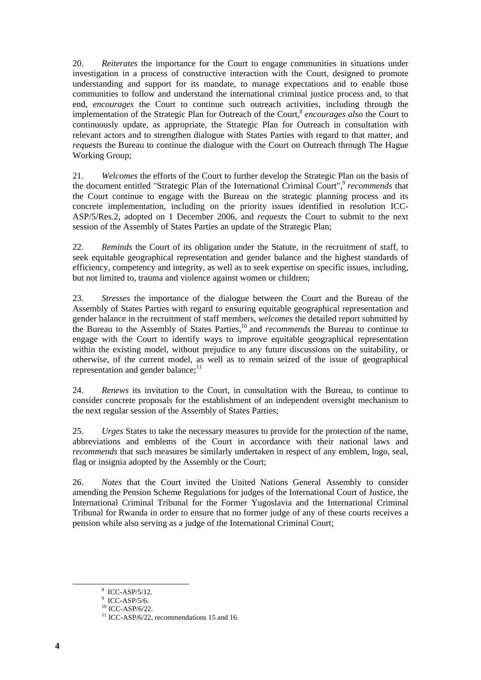20. *Reiterates* the importance for the Court to engage communities in situations under investigation in a process of constructive interaction with the Court, designed to promote understanding and support for its mandate, to manage expectations and to enable those communities to follow and understand the international criminal justice process and, to that end, *encourages* the Court to continue such outreach activities, including through the implementation of the Strategic Plan for Outreach of the Court,<sup>8</sup> encourages also the Court to continuously update, as appropriate, the Strategic Plan for Outreach in consultation with relevant actors and to strengthen dialogue with States Parties with regard to that matter, and *requests* the Bureau to continue the dialogue with the Court on Outreach through The Hague Working Group;

21. *Welcomes* the efforts of the Court to further develop the Strategic Plan on the basis of the document entitled "Strategic Plan of the International Criminal Court",<sup>9</sup> *recommends* that the Court continue to engage with the Bureau on the strategic planning process and its concrete implementation, including on the priority issues identified in resolution ICC-ASP/5/Res.2, adopted on 1 December 2006, and *requests* the Court to submit to the next session of the Assembly of States Parties an update of the Strategic Plan;

22. *Reminds* the Court of its obligation under the Statute, in the recruitment of staff, to seek equitable geographical representation and gender balance and the highest standards of efficiency, competency and integrity, as well as to seek expertise on specific issues, including, but not limited to, trauma and violence against women or children;

23. *Stresses* the importance of the dialogue between the Court and the Bureau of the Assembly of States Parties with regard to ensuring equitable geographical representation and gender balance in the recruitment of staff members, *welcomes* the detailed report submitted by the Bureau to the Assembly of States Parties,10 and *recommends* the Bureau to continue to engage with the Court to identify ways to improve equitable geographical representation within the existing model, without prejudice to any future discussions on the suitability, or otherwise, of the current model, as well as to remain seized of the issue of geographical representation and gender balance; $11$ 

24. *Renews* its invitation to the Court, in consultation with the Bureau, to continue to consider concrete proposals for the establishment of an independent oversight mechanism to the next regular session of the Assembly of States Parties;

25. *Urges* States to take the necessary measures to provide for the protection of the name, abbreviations and emblems of the Court in accordance with their national laws and *recommends* that such measures be similarly undertaken in respect of any emblem, logo, seal, flag or insignia adopted by the Assembly or the Court;

26. *Notes* that the Court invited the United Nations General Assembly to consider amending the Pension Scheme Regulations for judges of the International Court of Justice, the International Criminal Tribunal for the Former Yugoslavia and the International Criminal Tribunal for Rwanda in order to ensure that no former judge of any of these courts receives a pension while also serving as a judge of the International Criminal Court;

 <sup>8</sup> <sup>8</sup> ICC-ASP/5/12.

<sup>9</sup> ICC-ASP/5/6.

<sup>10</sup> ICC-ASP/6/22.

<sup>&</sup>lt;sup>11</sup> ICC-ASP/6/22, recommendations 15 and 16.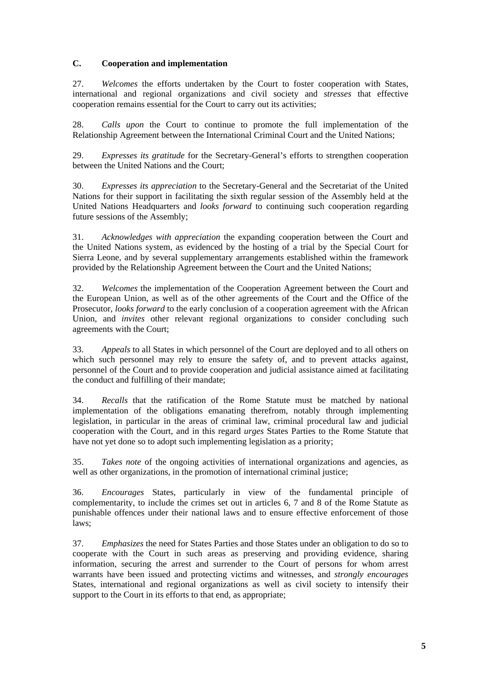## **C. Cooperation and implementation**

27. *Welcomes* the efforts undertaken by the Court to foster cooperation with States, international and regional organizations and civil society and *stresses* that effective cooperation remains essential for the Court to carry out its activities;

28. *Calls upon* the Court to continue to promote the full implementation of the Relationship Agreement between the International Criminal Court and the United Nations;

29. *Expresses its gratitude* for the Secretary-General's efforts to strengthen cooperation between the United Nations and the Court;

30. *Expresses its appreciation* to the Secretary-General and the Secretariat of the United Nations for their support in facilitating the sixth regular session of the Assembly held at the United Nations Headquarters and *looks forward* to continuing such cooperation regarding future sessions of the Assembly;

31. *Acknowledges with appreciation* the expanding cooperation between the Court and the United Nations system, as evidenced by the hosting of a trial by the Special Court for Sierra Leone, and by several supplementary arrangements established within the framework provided by the Relationship Agreement between the Court and the United Nations;

32. *Welcomes* the implementation of the Cooperation Agreement between the Court and the European Union, as well as of the other agreements of the Court and the Office of the Prosecutor, *looks forward* to the early conclusion of a cooperation agreement with the African Union, and *invites* other relevant regional organizations to consider concluding such agreements with the Court;

33. *Appeals* to all States in which personnel of the Court are deployed and to all others on which such personnel may rely to ensure the safety of, and to prevent attacks against, personnel of the Court and to provide cooperation and judicial assistance aimed at facilitating the conduct and fulfilling of their mandate;

34. *Recalls* that the ratification of the Rome Statute must be matched by national implementation of the obligations emanating therefrom, notably through implementing legislation, in particular in the areas of criminal law, criminal procedural law and judicial cooperation with the Court, and in this regard *urges* States Parties to the Rome Statute that have not yet done so to adopt such implementing legislation as a priority;

35. *Takes note* of the ongoing activities of international organizations and agencies, as well as other organizations, in the promotion of international criminal justice;

36. *Encourages* States, particularly in view of the fundamental principle of complementarity, to include the crimes set out in articles 6, 7 and 8 of the Rome Statute as punishable offences under their national laws and to ensure effective enforcement of those laws;

37. *Emphasizes* the need for States Parties and those States under an obligation to do so to cooperate with the Court in such areas as preserving and providing evidence, sharing information, securing the arrest and surrender to the Court of persons for whom arrest warrants have been issued and protecting victims and witnesses, and *strongly encourages*  States, international and regional organizations as well as civil society to intensify their support to the Court in its efforts to that end, as appropriate;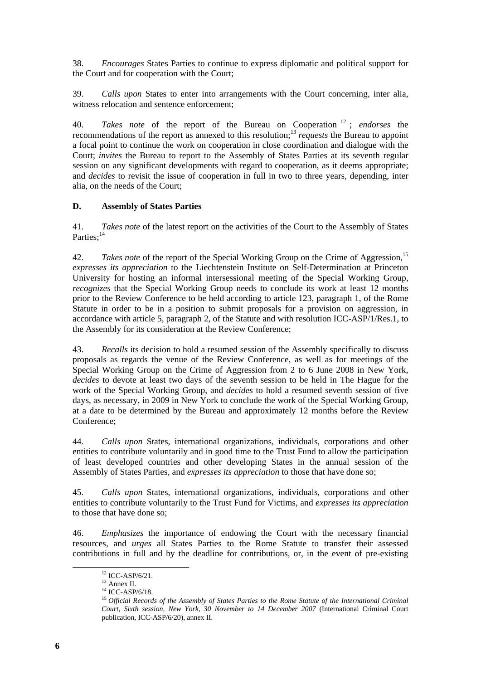38. *Encourages* States Parties to continue to express diplomatic and political support for the Court and for cooperation with the Court;

39. *Calls upon* States to enter into arrangements with the Court concerning, inter alia, witness relocation and sentence enforcement;

40. *Takes note* of the report of the Bureau on Cooperation <sup>12</sup> ; *endorses* the recommendations of the report as annexed to this resolution;13 *requests* the Bureau to appoint a focal point to continue the work on cooperation in close coordination and dialogue with the Court; *invites* the Bureau to report to the Assembly of States Parties at its seventh regular session on any significant developments with regard to cooperation, as it deems appropriate; and *decides* to revisit the issue of cooperation in full in two to three years, depending, inter alia, on the needs of the Court;

## **D. Assembly of States Parties**

41. *Takes note* of the latest report on the activities of the Court to the Assembly of States Parties:<sup>14</sup>

42. *Takes note* of the report of the Special Working Group on the Crime of Aggression,<sup>15</sup> *expresses its appreciation* to the Liechtenstein Institute on Self-Determination at Princeton University for hosting an informal intersessional meeting of the Special Working Group, *recognizes* that the Special Working Group needs to conclude its work at least 12 months prior to the Review Conference to be held according to article 123, paragraph 1, of the Rome Statute in order to be in a position to submit proposals for a provision on aggression, in accordance with article 5, paragraph 2, of the Statute and with resolution ICC-ASP/1/Res.1, to the Assembly for its consideration at the Review Conference;

43. *Recalls* its decision to hold a resumed session of the Assembly specifically to discuss proposals as regards the venue of the Review Conference, as well as for meetings of the Special Working Group on the Crime of Aggression from 2 to 6 June 2008 in New York, *decides* to devote at least two days of the seventh session to be held in The Hague for the work of the Special Working Group, and *decides* to hold a resumed seventh session of five days, as necessary, in 2009 in New York to conclude the work of the Special Working Group, at a date to be determined by the Bureau and approximately 12 months before the Review Conference;

44. *Calls upon* States, international organizations, individuals, corporations and other entities to contribute voluntarily and in good time to the Trust Fund to allow the participation of least developed countries and other developing States in the annual session of the Assembly of States Parties, and *expresses its appreciation* to those that have done so;

45. *Calls upon* States, international organizations, individuals, corporations and other entities to contribute voluntarily to the Trust Fund for Victims, and *expresses its appreciation* to those that have done so;

46. *Emphasizes* the importance of endowing the Court with the necessary financial resources, and *urges* all States Parties to the Rome Statute to transfer their assessed contributions in full and by the deadline for contributions, or, in the event of pre-existing

 <sup>12</sup> ICC-ASP/6/21.

 $^{13}$  Annex II.

 $14$  ICC-ASP/6/18.

<sup>15</sup> *Official Records of the Assembly of States Parties to the Rome Statute of the International Criminal Court, Sixth session, New York, 30 November to 14 December 2007* (International Criminal Court publication, ICC-ASP/6/20), annex II.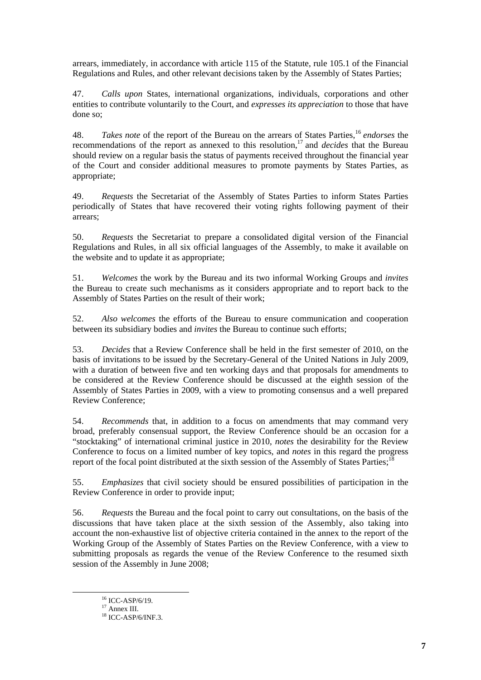arrears, immediately, in accordance with article 115 of the Statute, rule 105.1 of the Financial Regulations and Rules, and other relevant decisions taken by the Assembly of States Parties;

47. *Calls upon* States, international organizations, individuals, corporations and other entities to contribute voluntarily to the Court, and *expresses its appreciation* to those that have done so;

48. *Takes note* of the report of the Bureau on the arrears of States Parties,<sup>16</sup> *endorses* the recommendations of the report as annexed to this resolution,<sup>17</sup> and *decides* that the Bureau should review on a regular basis the status of payments received throughout the financial year of the Court and consider additional measures to promote payments by States Parties, as appropriate;

49. *Requests* the Secretariat of the Assembly of States Parties to inform States Parties periodically of States that have recovered their voting rights following payment of their arrears;

50. *Requests* the Secretariat to prepare a consolidated digital version of the Financial Regulations and Rules, in all six official languages of the Assembly, to make it available on the website and to update it as appropriate;

51. *Welcomes* the work by the Bureau and its two informal Working Groups and *invites*  the Bureau to create such mechanisms as it considers appropriate and to report back to the Assembly of States Parties on the result of their work;

52. *Also welcomes* the efforts of the Bureau to ensure communication and cooperation between its subsidiary bodies and *invites* the Bureau to continue such efforts;

53. *Decides* that a Review Conference shall be held in the first semester of 2010, on the basis of invitations to be issued by the Secretary-General of the United Nations in July 2009, with a duration of between five and ten working days and that proposals for amendments to be considered at the Review Conference should be discussed at the eighth session of the Assembly of States Parties in 2009, with a view to promoting consensus and a well prepared Review Conference;

54. *Recommends* that, in addition to a focus on amendments that may command very broad, preferably consensual support, the Review Conference should be an occasion for a "stocktaking" of international criminal justice in 2010, *notes* the desirability for the Review Conference to focus on a limited number of key topics, and *notes* in this regard the progress report of the focal point distributed at the sixth session of the Assembly of States Parties;<sup>1</sup>

55. *Emphasizes* that civil society should be ensured possibilities of participation in the Review Conference in order to provide input;

56. *Requests* the Bureau and the focal point to carry out consultations, on the basis of the discussions that have taken place at the sixth session of the Assembly, also taking into account the non-exhaustive list of objective criteria contained in the annex to the report of the Working Group of the Assembly of States Parties on the Review Conference, with a view to submitting proposals as regards the venue of the Review Conference to the resumed sixth session of the Assembly in June 2008;

<sup>&</sup>lt;sup>16</sup> ICC-ASP/6/19.

<sup>&</sup>lt;sup>17</sup> Annex III.

<sup>18</sup> ICC-ASP/6/INF.3.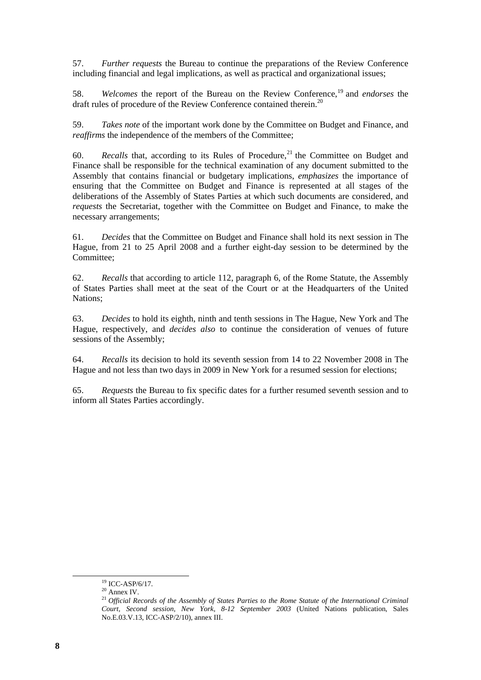57. *Further requests* the Bureau to continue the preparations of the Review Conference including financial and legal implications, as well as practical and organizational issues;

58. *Welcomes* the report of the Bureau on the Review Conference,19 and *endorses* the draft rules of procedure of the Review Conference contained therein.<sup>20</sup>

59. *Takes note* of the important work done by the Committee on Budget and Finance, and *reaffirms* the independence of the members of the Committee;

60. *Recalls* that, according to its Rules of Procedure,<sup>21</sup> the Committee on Budget and Finance shall be responsible for the technical examination of any document submitted to the Assembly that contains financial or budgetary implications, *emphasizes* the importance of ensuring that the Committee on Budget and Finance is represented at all stages of the deliberations of the Assembly of States Parties at which such documents are considered, and *requests* the Secretariat, together with the Committee on Budget and Finance, to make the necessary arrangements;

61. *Decides* that the Committee on Budget and Finance shall hold its next session in The Hague, from 21 to 25 April 2008 and a further eight-day session to be determined by the Committee;

62. *Recalls* that according to article 112, paragraph 6, of the Rome Statute, the Assembly of States Parties shall meet at the seat of the Court or at the Headquarters of the United Nations;

63. *Decides* to hold its eighth, ninth and tenth sessions in The Hague, New York and The Hague, respectively, and *decides also* to continue the consideration of venues of future sessions of the Assembly;

64. *Recalls* its decision to hold its seventh session from 14 to 22 November 2008 in The Hague and not less than two days in 2009 in New York for a resumed session for elections;

65. *Requests* the Bureau to fix specific dates for a further resumed seventh session and to inform all States Parties accordingly.

 <sup>19</sup> ICC-ASP/6/17.

<sup>20</sup> Annex IV.

<sup>21</sup> *Official Records of the Assembly of States Parties to the Rome Statute of the International Criminal Court, Second session, New York, 8-12 September 2003* (United Nations publication, Sales No.E.03.V.13, ICC-ASP/2/10), annex III.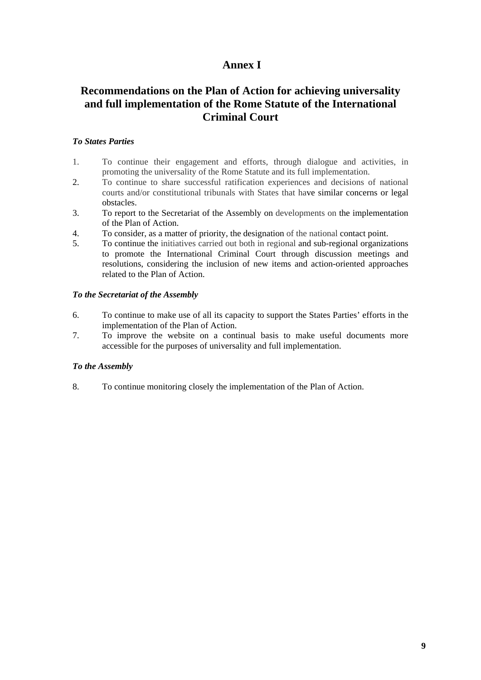## **Annex I**

## **Recommendations on the Plan of Action for achieving universality and full implementation of the Rome Statute of the International Criminal Court**

## *To States Parties*

- 1. To continue their engagement and efforts, through dialogue and activities, in promoting the universality of the Rome Statute and its full implementation.
- 2. To continue to share successful ratification experiences and decisions of national courts and/or constitutional tribunals with States that have similar concerns or legal obstacles.
- 3. To report to the Secretariat of the Assembly on developments on the implementation of the Plan of Action.
- 4. To consider, as a matter of priority, the designation of the national contact point.
- 5. To continue the initiatives carried out both in regional and sub-regional organizations to promote the International Criminal Court through discussion meetings and resolutions, considering the inclusion of new items and action-oriented approaches related to the Plan of Action.

## *To the Secretariat of the Assembly*

- 6. To continue to make use of all its capacity to support the States Parties' efforts in the implementation of the Plan of Action.
- 7. To improve the website on a continual basis to make useful documents more accessible for the purposes of universality and full implementation.

## *To the Assembly*

8. To continue monitoring closely the implementation of the Plan of Action.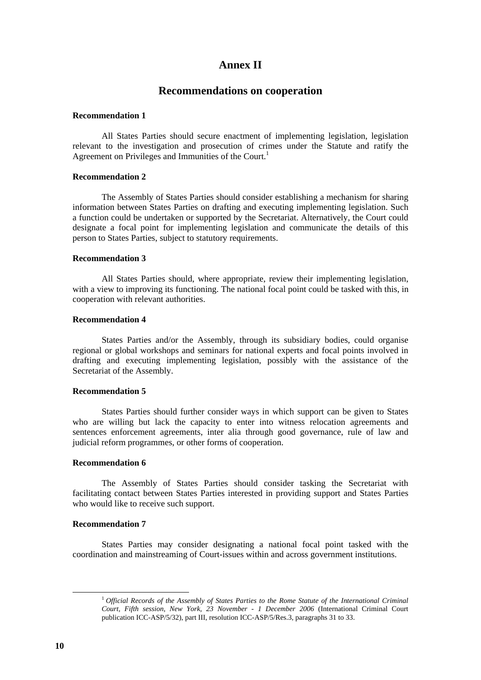## **Annex II**

## **Recommendations on cooperation**

#### **Recommendation 1**

All States Parties should secure enactment of implementing legislation, legislation relevant to the investigation and prosecution of crimes under the Statute and ratify the Agreement on Privileges and Immunities of the Court.<sup>1</sup>

#### **Recommendation 2**

The Assembly of States Parties should consider establishing a mechanism for sharing information between States Parties on drafting and executing implementing legislation. Such a function could be undertaken or supported by the Secretariat. Alternatively, the Court could designate a focal point for implementing legislation and communicate the details of this person to States Parties, subject to statutory requirements.

#### **Recommendation 3**

All States Parties should, where appropriate, review their implementing legislation, with a view to improving its functioning. The national focal point could be tasked with this, in cooperation with relevant authorities.

#### **Recommendation 4**

States Parties and/or the Assembly, through its subsidiary bodies, could organise regional or global workshops and seminars for national experts and focal points involved in drafting and executing implementing legislation, possibly with the assistance of the Secretariat of the Assembly.

## **Recommendation 5**

States Parties should further consider ways in which support can be given to States who are willing but lack the capacity to enter into witness relocation agreements and sentences enforcement agreements, inter alia through good governance, rule of law and judicial reform programmes, or other forms of cooperation.

#### **Recommendation 6**

The Assembly of States Parties should consider tasking the Secretariat with facilitating contact between States Parties interested in providing support and States Parties who would like to receive such support.

#### **Recommendation 7**

States Parties may consider designating a national focal point tasked with the coordination and mainstreaming of Court-issues within and across government institutions.

 <sup>1</sup> *Official Records of the Assembly of States Parties to the Rome Statute of the International Criminal Court, Fifth session, New York, 23 November - 1 December 2006* (International Criminal Court publication ICC-ASP/5/32), part III, resolution ICC-ASP/5/Res.3, paragraphs 31 to 33.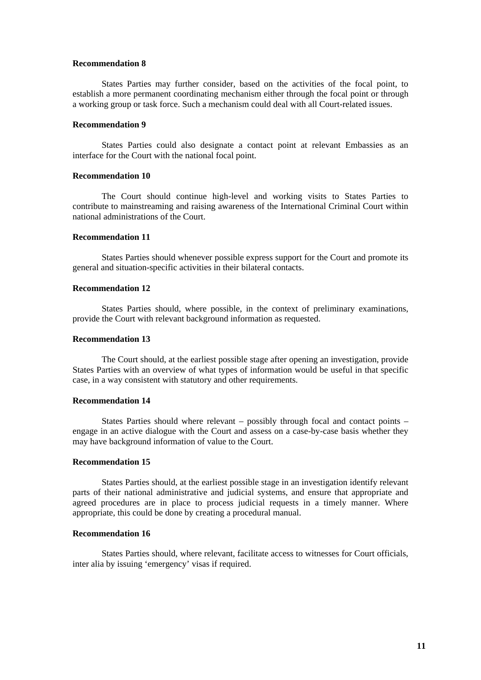States Parties may further consider, based on the activities of the focal point, to establish a more permanent coordinating mechanism either through the focal point or through a working group or task force. Such a mechanism could deal with all Court-related issues.

#### **Recommendation 9**

States Parties could also designate a contact point at relevant Embassies as an interface for the Court with the national focal point.

#### **Recommendation 10**

The Court should continue high-level and working visits to States Parties to contribute to mainstreaming and raising awareness of the International Criminal Court within national administrations of the Court.

#### **Recommendation 11**

States Parties should whenever possible express support for the Court and promote its general and situation-specific activities in their bilateral contacts.

#### **Recommendation 12**

States Parties should, where possible, in the context of preliminary examinations, provide the Court with relevant background information as requested.

### **Recommendation 13**

The Court should, at the earliest possible stage after opening an investigation, provide States Parties with an overview of what types of information would be useful in that specific case, in a way consistent with statutory and other requirements.

#### **Recommendation 14**

States Parties should where relevant – possibly through focal and contact points – engage in an active dialogue with the Court and assess on a case-by-case basis whether they may have background information of value to the Court.

#### **Recommendation 15**

States Parties should, at the earliest possible stage in an investigation identify relevant parts of their national administrative and judicial systems, and ensure that appropriate and agreed procedures are in place to process judicial requests in a timely manner. Where appropriate, this could be done by creating a procedural manual.

#### **Recommendation 16**

States Parties should, where relevant, facilitate access to witnesses for Court officials, inter alia by issuing 'emergency' visas if required.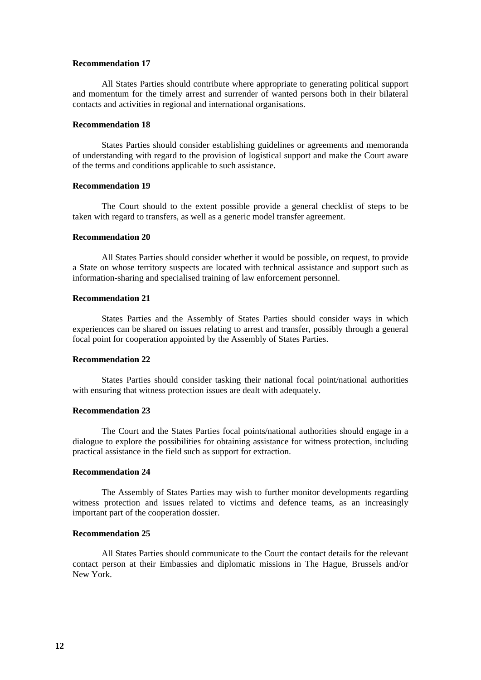All States Parties should contribute where appropriate to generating political support and momentum for the timely arrest and surrender of wanted persons both in their bilateral contacts and activities in regional and international organisations.

#### **Recommendation 18**

States Parties should consider establishing guidelines or agreements and memoranda of understanding with regard to the provision of logistical support and make the Court aware of the terms and conditions applicable to such assistance.

### **Recommendation 19**

The Court should to the extent possible provide a general checklist of steps to be taken with regard to transfers, as well as a generic model transfer agreement.

#### **Recommendation 20**

All States Parties should consider whether it would be possible, on request, to provide a State on whose territory suspects are located with technical assistance and support such as information-sharing and specialised training of law enforcement personnel.

#### **Recommendation 21**

States Parties and the Assembly of States Parties should consider ways in which experiences can be shared on issues relating to arrest and transfer, possibly through a general focal point for cooperation appointed by the Assembly of States Parties.

#### **Recommendation 22**

States Parties should consider tasking their national focal point/national authorities with ensuring that witness protection issues are dealt with adequately.

#### **Recommendation 23**

The Court and the States Parties focal points/national authorities should engage in a dialogue to explore the possibilities for obtaining assistance for witness protection, including practical assistance in the field such as support for extraction.

#### **Recommendation 24**

The Assembly of States Parties may wish to further monitor developments regarding witness protection and issues related to victims and defence teams, as an increasingly important part of the cooperation dossier.

#### **Recommendation 25**

All States Parties should communicate to the Court the contact details for the relevant contact person at their Embassies and diplomatic missions in The Hague, Brussels and/or New York.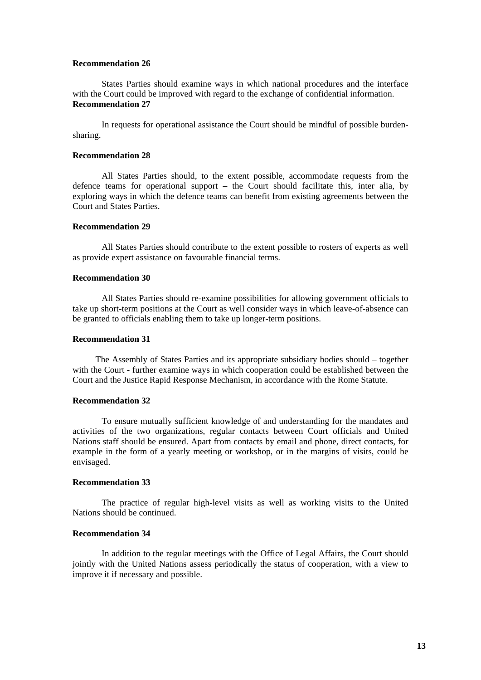States Parties should examine ways in which national procedures and the interface with the Court could be improved with regard to the exchange of confidential information. **Recommendation 27** 

In requests for operational assistance the Court should be mindful of possible burdensharing.

## **Recommendation 28**

All States Parties should, to the extent possible, accommodate requests from the defence teams for operational support – the Court should facilitate this, inter alia, by exploring ways in which the defence teams can benefit from existing agreements between the Court and States Parties.

#### **Recommendation 29**

All States Parties should contribute to the extent possible to rosters of experts as well as provide expert assistance on favourable financial terms.

#### **Recommendation 30**

All States Parties should re-examine possibilities for allowing government officials to take up short-term positions at the Court as well consider ways in which leave-of-absence can be granted to officials enabling them to take up longer-term positions.

#### **Recommendation 31**

The Assembly of States Parties and its appropriate subsidiary bodies should – together with the Court - further examine ways in which cooperation could be established between the Court and the Justice Rapid Response Mechanism, in accordance with the Rome Statute.

### **Recommendation 32**

To ensure mutually sufficient knowledge of and understanding for the mandates and activities of the two organizations, regular contacts between Court officials and United Nations staff should be ensured. Apart from contacts by email and phone, direct contacts, for example in the form of a yearly meeting or workshop, or in the margins of visits, could be envisaged.

#### **Recommendation 33**

The practice of regular high-level visits as well as working visits to the United Nations should be continued.

#### **Recommendation 34**

In addition to the regular meetings with the Office of Legal Affairs, the Court should jointly with the United Nations assess periodically the status of cooperation, with a view to improve it if necessary and possible.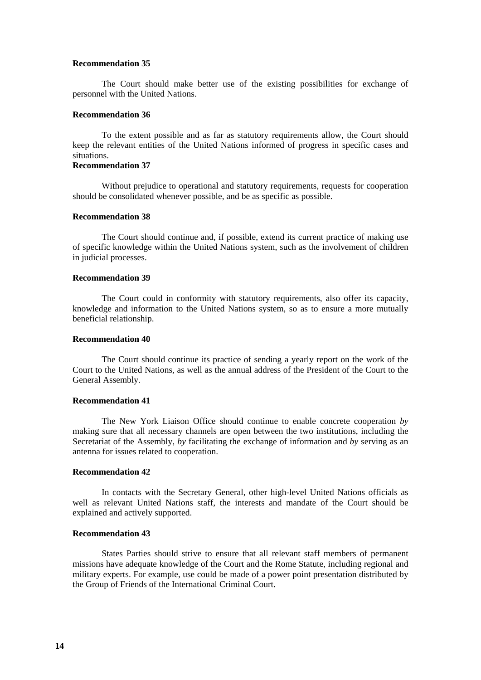The Court should make better use of the existing possibilities for exchange of personnel with the United Nations.

#### **Recommendation 36**

To the extent possible and as far as statutory requirements allow, the Court should keep the relevant entities of the United Nations informed of progress in specific cases and situations.

### **Recommendation 37**

Without prejudice to operational and statutory requirements, requests for cooperation should be consolidated whenever possible, and be as specific as possible.

#### **Recommendation 38**

The Court should continue and, if possible, extend its current practice of making use of specific knowledge within the United Nations system, such as the involvement of children in judicial processes.

#### **Recommendation 39**

The Court could in conformity with statutory requirements, also offer its capacity, knowledge and information to the United Nations system, so as to ensure a more mutually beneficial relationship.

#### **Recommendation 40**

The Court should continue its practice of sending a yearly report on the work of the Court to the United Nations, as well as the annual address of the President of the Court to the General Assembly.

#### **Recommendation 41**

The New York Liaison Office should continue to enable concrete cooperation *by* making sure that all necessary channels are open between the two institutions, including the Secretariat of the Assembly, *by* facilitating the exchange of information and *by* serving as an antenna for issues related to cooperation.

#### **Recommendation 42**

In contacts with the Secretary General, other high-level United Nations officials as well as relevant United Nations staff, the interests and mandate of the Court should be explained and actively supported.

#### **Recommendation 43**

States Parties should strive to ensure that all relevant staff members of permanent missions have adequate knowledge of the Court and the Rome Statute, including regional and military experts. For example, use could be made of a power point presentation distributed by the Group of Friends of the International Criminal Court.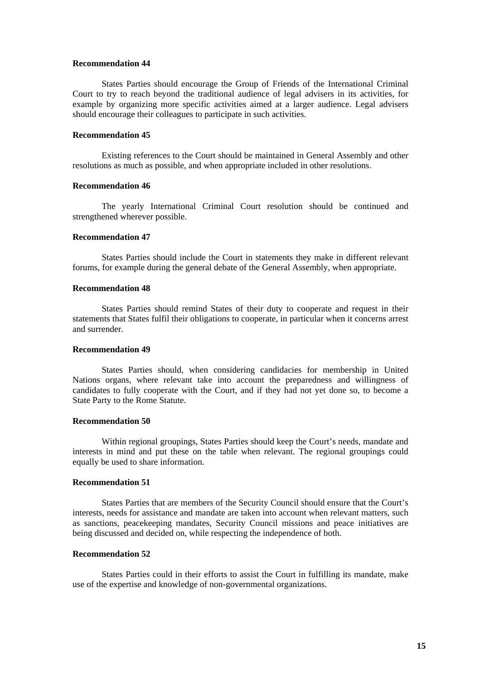States Parties should encourage the Group of Friends of the International Criminal Court to try to reach beyond the traditional audience of legal advisers in its activities, for example by organizing more specific activities aimed at a larger audience. Legal advisers should encourage their colleagues to participate in such activities.

#### **Recommendation 45**

Existing references to the Court should be maintained in General Assembly and other resolutions as much as possible, and when appropriate included in other resolutions.

#### **Recommendation 46**

The yearly International Criminal Court resolution should be continued and strengthened wherever possible.

#### **Recommendation 47**

States Parties should include the Court in statements they make in different relevant forums, for example during the general debate of the General Assembly, when appropriate.

#### **Recommendation 48**

States Parties should remind States of their duty to cooperate and request in their statements that States fulfil their obligations to cooperate, in particular when it concerns arrest and surrender.

#### **Recommendation 49**

States Parties should, when considering candidacies for membership in United Nations organs, where relevant take into account the preparedness and willingness of candidates to fully cooperate with the Court, and if they had not yet done so, to become a State Party to the Rome Statute.

### **Recommendation 50**

Within regional groupings, States Parties should keep the Court's needs, mandate and interests in mind and put these on the table when relevant. The regional groupings could equally be used to share information.

#### **Recommendation 51**

States Parties that are members of the Security Council should ensure that the Court's interests, needs for assistance and mandate are taken into account when relevant matters, such as sanctions, peacekeeping mandates, Security Council missions and peace initiatives are being discussed and decided on, while respecting the independence of both.

## **Recommendation 52**

States Parties could in their efforts to assist the Court in fulfilling its mandate, make use of the expertise and knowledge of non-governmental organizations.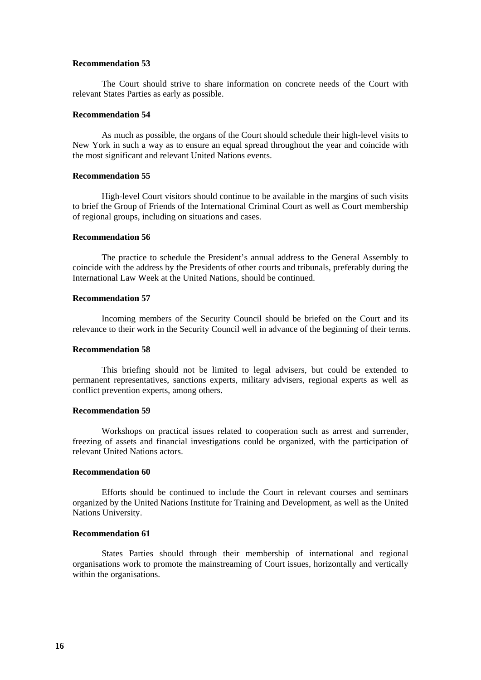The Court should strive to share information on concrete needs of the Court with relevant States Parties as early as possible.

#### **Recommendation 54**

As much as possible, the organs of the Court should schedule their high-level visits to New York in such a way as to ensure an equal spread throughout the year and coincide with the most significant and relevant United Nations events.

#### **Recommendation 55**

High-level Court visitors should continue to be available in the margins of such visits to brief the Group of Friends of the International Criminal Court as well as Court membership of regional groups, including on situations and cases.

#### **Recommendation 56**

The practice to schedule the President's annual address to the General Assembly to coincide with the address by the Presidents of other courts and tribunals, preferably during the International Law Week at the United Nations, should be continued.

#### **Recommendation 57**

Incoming members of the Security Council should be briefed on the Court and its relevance to their work in the Security Council well in advance of the beginning of their terms.

#### **Recommendation 58**

This briefing should not be limited to legal advisers, but could be extended to permanent representatives, sanctions experts, military advisers, regional experts as well as conflict prevention experts, among others.

#### **Recommendation 59**

Workshops on practical issues related to cooperation such as arrest and surrender, freezing of assets and financial investigations could be organized, with the participation of relevant United Nations actors.

#### **Recommendation 60**

Efforts should be continued to include the Court in relevant courses and seminars organized by the United Nations Institute for Training and Development, as well as the United Nations University.

#### **Recommendation 61**

States Parties should through their membership of international and regional organisations work to promote the mainstreaming of Court issues, horizontally and vertically within the organisations.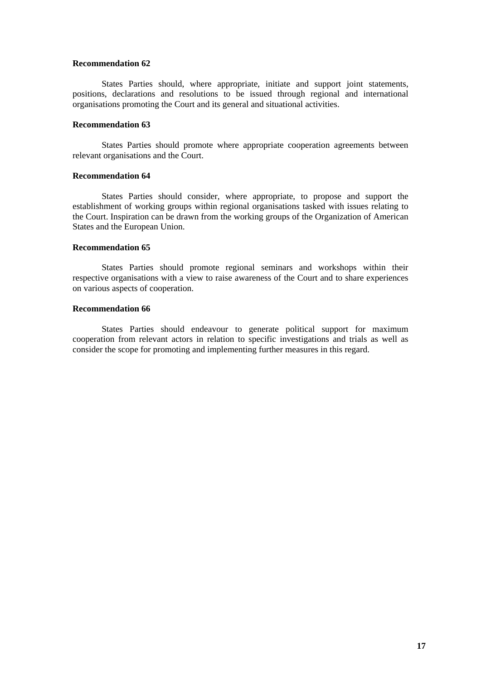States Parties should, where appropriate, initiate and support joint statements, positions, declarations and resolutions to be issued through regional and international organisations promoting the Court and its general and situational activities.

#### **Recommendation 63**

States Parties should promote where appropriate cooperation agreements between relevant organisations and the Court.

### **Recommendation 64**

States Parties should consider, where appropriate, to propose and support the establishment of working groups within regional organisations tasked with issues relating to the Court. Inspiration can be drawn from the working groups of the Organization of American States and the European Union.

#### **Recommendation 65**

States Parties should promote regional seminars and workshops within their respective organisations with a view to raise awareness of the Court and to share experiences on various aspects of cooperation.

#### **Recommendation 66**

States Parties should endeavour to generate political support for maximum cooperation from relevant actors in relation to specific investigations and trials as well as consider the scope for promoting and implementing further measures in this regard.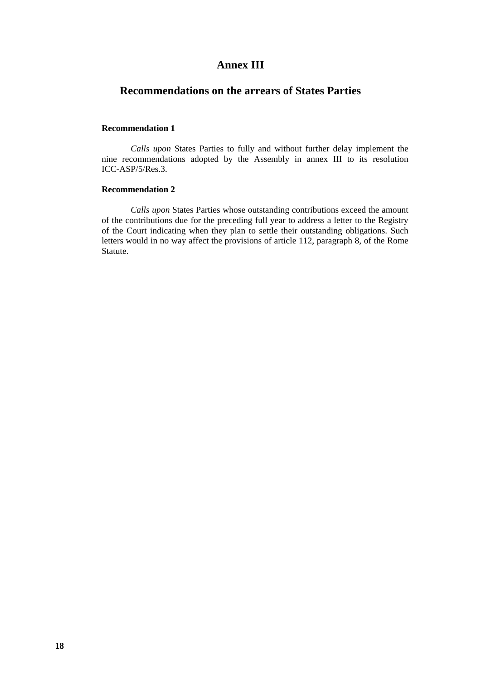## **Annex III**

## **Recommendations on the arrears of States Parties**

## **Recommendation 1**

*Calls upon* States Parties to fully and without further delay implement the nine recommendations adopted by the Assembly in annex III to its resolution ICC-ASP/5/Res.3.

#### **Recommendation 2**

 *Calls upon* States Parties whose outstanding contributions exceed the amount of the contributions due for the preceding full year to address a letter to the Registry of the Court indicating when they plan to settle their outstanding obligations. Such letters would in no way affect the provisions of article 112, paragraph 8, of the Rome Statute.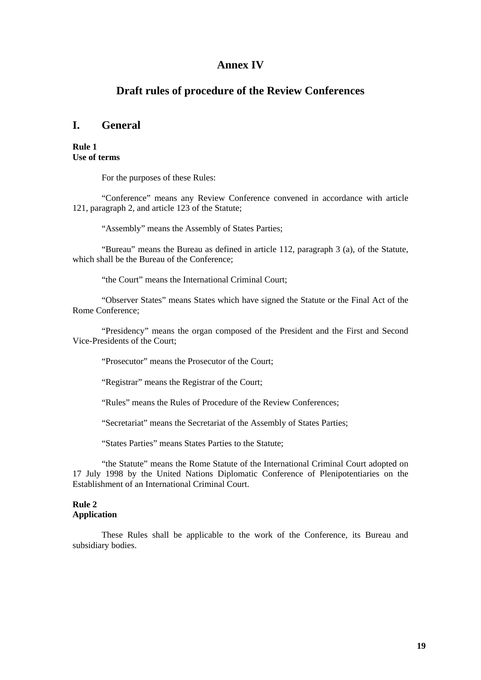## **Annex IV**

## **Draft rules of procedure of the Review Conferences**

## **I. General**

## **Rule 1 Use of terms**

For the purposes of these Rules:

 "Conference" means any Review Conference convened in accordance with article 121, paragraph 2, and article 123 of the Statute;

"Assembly" means the Assembly of States Parties;

 "Bureau" means the Bureau as defined in article 112, paragraph 3 (a), of the Statute, which shall be the Bureau of the Conference;

"the Court" means the International Criminal Court;

 "Observer States" means States which have signed the Statute or the Final Act of the Rome Conference;

 "Presidency" means the organ composed of the President and the First and Second Vice-Presidents of the Court;

"Prosecutor" means the Prosecutor of the Court;

"Registrar" means the Registrar of the Court;

"Rules" means the Rules of Procedure of the Review Conferences;

"Secretariat" means the Secretariat of the Assembly of States Parties;

"States Parties" means States Parties to the Statute;

 "the Statute" means the Rome Statute of the International Criminal Court adopted on 17 July 1998 by the United Nations Diplomatic Conference of Plenipotentiaries on the Establishment of an International Criminal Court.

# **Rule 2**

## **Application**

These Rules shall be applicable to the work of the Conference, its Bureau and subsidiary bodies.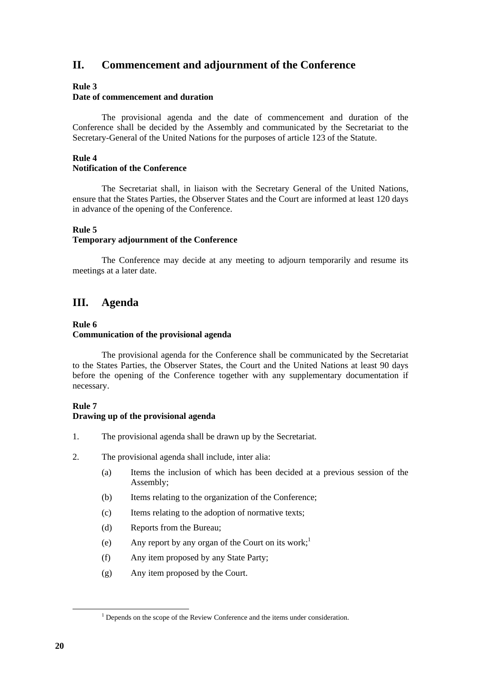## **II. Commencement and adjournment of the Conference**

## **Rule 3**

## **Date of commencement and duration**

The provisional agenda and the date of commencement and duration of the Conference shall be decided by the Assembly and communicated by the Secretariat to the Secretary-General of the United Nations for the purposes of article 123 of the Statute.

## **Rule 4**

## **Notification of the Conference**

The Secretariat shall, in liaison with the Secretary General of the United Nations, ensure that the States Parties, the Observer States and the Court are informed at least 120 days in advance of the opening of the Conference.

## **Rule 5**

## **Temporary adjournment of the Conference**

 The Conference may decide at any meeting to adjourn temporarily and resume its meetings at a later date.

## **III. Agenda**

## **Rule 6**

## **Communication of the provisional agenda**

 The provisional agenda for the Conference shall be communicated by the Secretariat to the States Parties, the Observer States, the Court and the United Nations at least 90 days before the opening of the Conference together with any supplementary documentation if necessary.

## **Rule 7**

## **Drawing up of the provisional agenda**

- 1. The provisional agenda shall be drawn up by the Secretariat.
- 2. The provisional agenda shall include, inter alia:
	- (a) Items the inclusion of which has been decided at a previous session of the Assembly;
	- (b) Items relating to the organization of the Conference;
	- (c) Items relating to the adoption of normative texts;
	- (d) Reports from the Bureau;
	- (e) Any report by any organ of the Court on its work;<sup>1</sup>
	- (f) Any item proposed by any State Party;
	- (g) Any item proposed by the Court.

<sup>&</sup>lt;u>1</u> <sup>1</sup> Depends on the scope of the Review Conference and the items under consideration.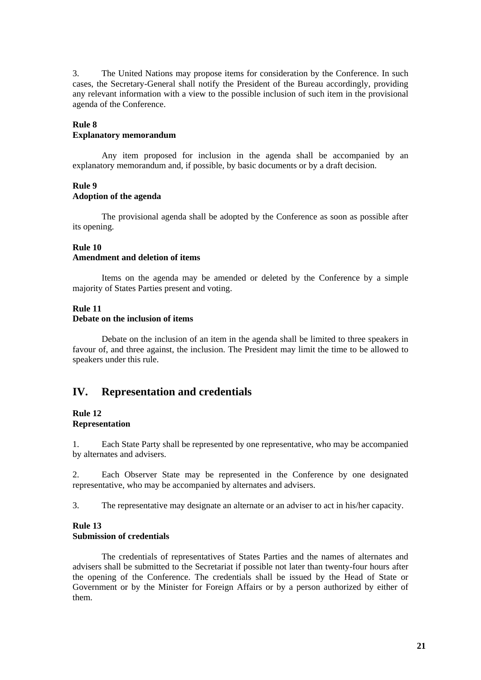3. The United Nations may propose items for consideration by the Conference. In such cases, the Secretary-General shall notify the President of the Bureau accordingly, providing any relevant information with a view to the possible inclusion of such item in the provisional agenda of the Conference.

### **Rule 8 Explanatory memorandum**

 Any item proposed for inclusion in the agenda shall be accompanied by an explanatory memorandum and, if possible, by basic documents or by a draft decision.

#### **Rule 9 Adoption of the agenda**

 The provisional agenda shall be adopted by the Conference as soon as possible after its opening.

## **Rule 10**

## **Amendment and deletion of items**

 Items on the agenda may be amended or deleted by the Conference by a simple majority of States Parties present and voting.

## **Rule 11**

### **Debate on the inclusion of items**

 Debate on the inclusion of an item in the agenda shall be limited to three speakers in favour of, and three against, the inclusion. The President may limit the time to be allowed to speakers under this rule.

## **IV. Representation and credentials**

#### **Rule 12 Representation**

1. Each State Party shall be represented by one representative, who may be accompanied by alternates and advisers.

2. Each Observer State may be represented in the Conference by one designated representative, who may be accompanied by alternates and advisers.

3. The representative may designate an alternate or an adviser to act in his/her capacity.

## **Rule 13**

## **Submission of credentials**

 The credentials of representatives of States Parties and the names of alternates and advisers shall be submitted to the Secretariat if possible not later than twenty-four hours after the opening of the Conference. The credentials shall be issued by the Head of State or Government or by the Minister for Foreign Affairs or by a person authorized by either of them.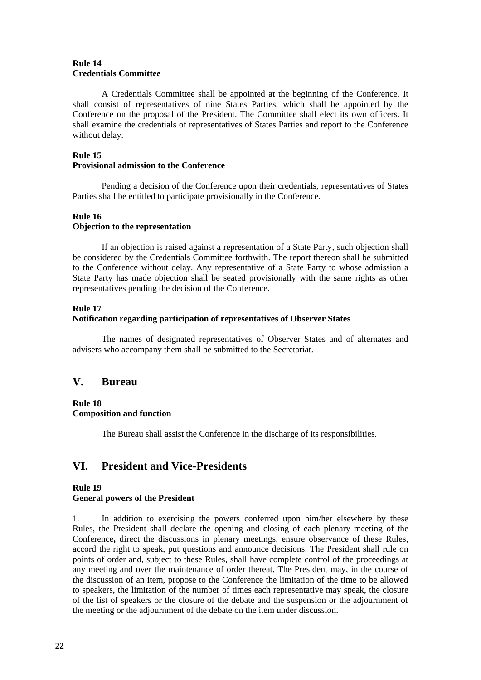## **Rule 14 Credentials Committee**

 A Credentials Committee shall be appointed at the beginning of the Conference. It shall consist of representatives of nine States Parties, which shall be appointed by the Conference on the proposal of the President. The Committee shall elect its own officers. It shall examine the credentials of representatives of States Parties and report to the Conference without delay.

## **Rule 15 Provisional admission to the Conference**

 Pending a decision of the Conference upon their credentials, representatives of States Parties shall be entitled to participate provisionally in the Conference.

### **Rule 16 Objection to the representation**

 If an objection is raised against a representation of a State Party, such objection shall be considered by the Credentials Committee forthwith. The report thereon shall be submitted to the Conference without delay. Any representative of a State Party to whose admission a State Party has made objection shall be seated provisionally with the same rights as other representatives pending the decision of the Conference.

## **Rule 17**

### **Notification regarding participation of representatives of Observer States**

 The names of designated representatives of Observer States and of alternates and advisers who accompany them shall be submitted to the Secretariat.

## **V. Bureau**

## **Rule 18 Composition and function**

The Bureau shall assist the Conference in the discharge of its responsibilities.

## **VI. President and Vice-Presidents**

### **Rule 19**

### **General powers of the President**

1. In addition to exercising the powers conferred upon him/her elsewhere by these Rules, the President shall declare the opening and closing of each plenary meeting of the Conference**,** direct the discussions in plenary meetings, ensure observance of these Rules, accord the right to speak, put questions and announce decisions. The President shall rule on points of order and, subject to these Rules, shall have complete control of the proceedings at any meeting and over the maintenance of order thereat. The President may, in the course of the discussion of an item, propose to the Conference the limitation of the time to be allowed to speakers, the limitation of the number of times each representative may speak, the closure of the list of speakers or the closure of the debate and the suspension or the adjournment of the meeting or the adjournment of the debate on the item under discussion.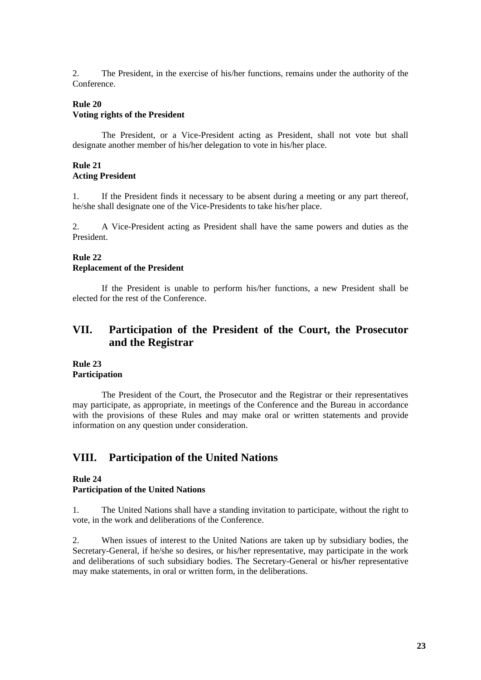2. The President, in the exercise of his/her functions, remains under the authority of the Conference.

## **Rule 20 Voting rights of the President**

 The President, or a Vice-President acting as President, shall not vote but shall designate another member of his/her delegation to vote in his/her place.

#### **Rule 21 Acting President**

1. If the President finds it necessary to be absent during a meeting or any part thereof, he/she shall designate one of the Vice-Presidents to take his/her place.

2. A Vice-President acting as President shall have the same powers and duties as the President.

## **Rule 22 Replacement of the President**

 If the President is unable to perform his/her functions, a new President shall be elected for the rest of the Conference.

## **VII. Participation of the President of the Court, the Prosecutor and the Registrar**

## **Rule 23 Participation**

 The President of the Court, the Prosecutor and the Registrar or their representatives may participate, as appropriate, in meetings of the Conference and the Bureau in accordance with the provisions of these Rules and may make oral or written statements and provide information on any question under consideration.

## **VIII. Participation of the United Nations**

## **Rule 24 Participation of the United Nations**

1. The United Nations shall have a standing invitation to participate, without the right to vote, in the work and deliberations of the Conference.

2. When issues of interest to the United Nations are taken up by subsidiary bodies, the Secretary-General, if he/she so desires, or his/her representative, may participate in the work and deliberations of such subsidiary bodies. The Secretary-General or his**/**her representative may make statements, in oral or written form, in the deliberations.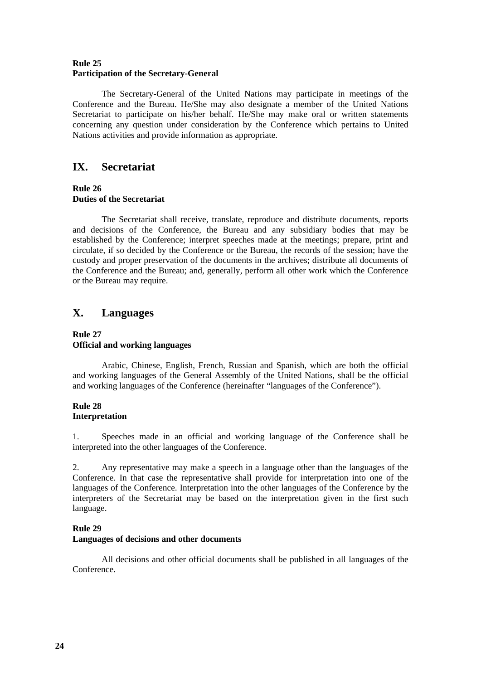## **Rule 25 Participation of the Secretary-General**

 The Secretary-General of the United Nations may participate in meetings of the Conference and the Bureau. He/She may also designate a member of the United Nations Secretariat to participate on his/her behalf. He/She may make oral or written statements concerning any question under consideration by the Conference which pertains to United Nations activities and provide information as appropriate.

## **IX. Secretariat**

## **Rule 26 Duties of the Secretariat**

 The Secretariat shall receive, translate, reproduce and distribute documents, reports and decisions of the Conference, the Bureau and any subsidiary bodies that may be established by the Conference; interpret speeches made at the meetings; prepare, print and circulate, if so decided by the Conference or the Bureau, the records of the session; have the custody and proper preservation of the documents in the archives; distribute all documents of the Conference and the Bureau; and, generally, perform all other work which the Conference or the Bureau may require.

## **X. Languages**

## **Rule 27 Official and working languages**

 Arabic, Chinese, English, French, Russian and Spanish, which are both the official and working languages of the General Assembly of the United Nations, shall be the official and working languages of the Conference (hereinafter "languages of the Conference").

#### **Rule 28 Interpretation**

1. Speeches made in an official and working language of the Conference shall be interpreted into the other languages of the Conference.

2. Any representative may make a speech in a language other than the languages of the Conference. In that case the representative shall provide for interpretation into one of the languages of the Conference. Interpretation into the other languages of the Conference by the interpreters of the Secretariat may be based on the interpretation given in the first such language.

## **Rule 29**

### **Languages of decisions and other documents**

 All decisions and other official documents shall be published in all languages of the Conference.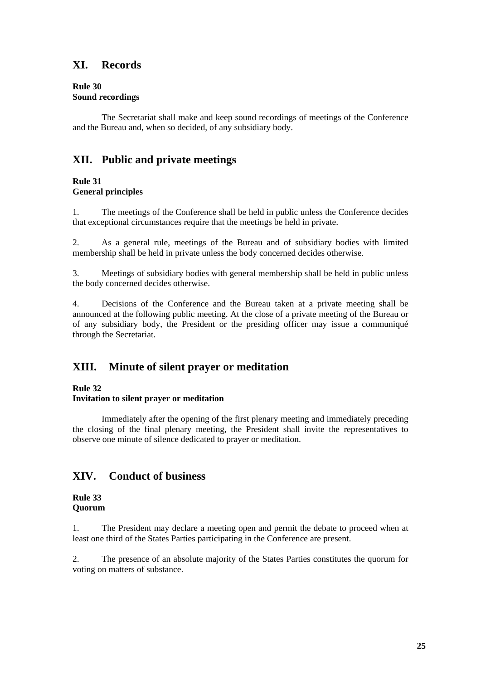## **XI. Records**

### **Rule 30 Sound recordings**

 The Secretariat shall make and keep sound recordings of meetings of the Conference and the Bureau and, when so decided, of any subsidiary body.

## **XII. Public and private meetings**

### **Rule 31 General principles**

1. The meetings of the Conference shall be held in public unless the Conference decides that exceptional circumstances require that the meetings be held in private.

2. As a general rule, meetings of the Bureau and of subsidiary bodies with limited membership shall be held in private unless the body concerned decides otherwise.

3. Meetings of subsidiary bodies with general membership shall be held in public unless the body concerned decides otherwise.

4. Decisions of the Conference and the Bureau taken at a private meeting shall be announced at the following public meeting. At the close of a private meeting of the Bureau or of any subsidiary body, the President or the presiding officer may issue a communiqué through the Secretariat.

## **XIII. Minute of silent prayer or meditation**

### **Rule 32**

### **Invitation to silent prayer or meditation**

 Immediately after the opening of the first plenary meeting and immediately preceding the closing of the final plenary meeting, the President shall invite the representatives to observe one minute of silence dedicated to prayer or meditation.

## **XIV. Conduct of business**

#### **Rule 33 Quorum**

1. The President may declare a meeting open and permit the debate to proceed when at least one third of the States Parties participating in the Conference are present.

2. The presence of an absolute majority of the States Parties constitutes the quorum for voting on matters of substance.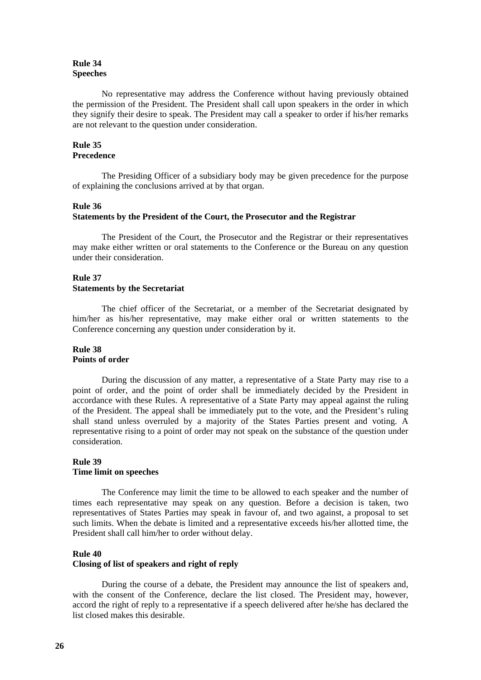#### **Rule 34 Speeches**

 No representative may address the Conference without having previously obtained the permission of the President. The President shall call upon speakers in the order in which they signify their desire to speak. The President may call a speaker to order if his/her remarks are not relevant to the question under consideration.

#### **Rule 35 Precedence**

 The Presiding Officer of a subsidiary body may be given precedence for the purpose of explaining the conclusions arrived at by that organ.

#### **Rule 36**

### **Statements by the President of the Court, the Prosecutor and the Registrar**

 The President of the Court, the Prosecutor and the Registrar or their representatives may make either written or oral statements to the Conference or the Bureau on any question under their consideration.

#### **Rule 37**

#### **Statements by the Secretariat**

 The chief officer of the Secretariat, or a member of the Secretariat designated by him/her as his/her representative, may make either oral or written statements to the Conference concerning any question under consideration by it.

#### **Rule 38 Points of order**

 During the discussion of any matter, a representative of a State Party may rise to a point of order, and the point of order shall be immediately decided by the President in accordance with these Rules. A representative of a State Party may appeal against the ruling of the President. The appeal shall be immediately put to the vote, and the President's ruling shall stand unless overruled by a majority of the States Parties present and voting. A representative rising to a point of order may not speak on the substance of the question under consideration.

#### **Rule 39 Time limit on speeches**

 The Conference may limit the time to be allowed to each speaker and the number of times each representative may speak on any question. Before a decision is taken, two representatives of States Parties may speak in favour of, and two against, a proposal to set such limits. When the debate is limited and a representative exceeds his/her allotted time, the President shall call him/her to order without delay.

## **Rule 40**

#### **Closing of list of speakers and right of reply**

 During the course of a debate, the President may announce the list of speakers and, with the consent of the Conference, declare the list closed. The President may, however, accord the right of reply to a representative if a speech delivered after he/she has declared the list closed makes this desirable.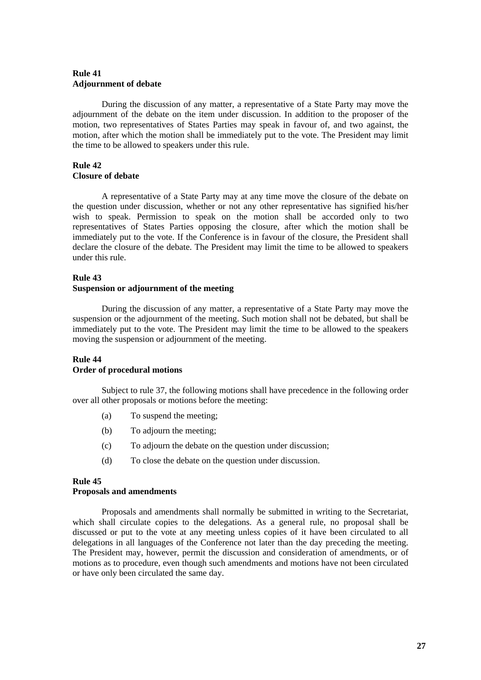## **Rule 41 Adjournment of debate**

 During the discussion of any matter, a representative of a State Party may move the adjournment of the debate on the item under discussion. In addition to the proposer of the motion, two representatives of States Parties may speak in favour of, and two against, the motion, after which the motion shall be immediately put to the vote. The President may limit the time to be allowed to speakers under this rule.

#### **Rule 42 Closure of debate**

 A representative of a State Party may at any time move the closure of the debate on the question under discussion, whether or not any other representative has signified his/her wish to speak. Permission to speak on the motion shall be accorded only to two representatives of States Parties opposing the closure, after which the motion shall be immediately put to the vote. If the Conference is in favour of the closure, the President shall declare the closure of the debate. The President may limit the time to be allowed to speakers under this rule.

### **Rule 43**

### **Suspension or adjournment of the meeting**

 During the discussion of any matter, a representative of a State Party may move the suspension or the adjournment of the meeting. Such motion shall not be debated, but shall be immediately put to the vote. The President may limit the time to be allowed to the speakers moving the suspension or adjournment of the meeting.

## **Rule 44 Order of procedural motions**

 Subject to rule 37, the following motions shall have precedence in the following order over all other proposals or motions before the meeting:

- (a) To suspend the meeting;
- (b) To adjourn the meeting;
- (c) To adjourn the debate on the question under discussion;
- (d) To close the debate on the question under discussion.

## **Rule 45**

### **Proposals and amendments**

 Proposals and amendments shall normally be submitted in writing to the Secretariat, which shall circulate copies to the delegations. As a general rule, no proposal shall be discussed or put to the vote at any meeting unless copies of it have been circulated to all delegations in all languages of the Conference not later than the day preceding the meeting. The President may, however, permit the discussion and consideration of amendments, or of motions as to procedure, even though such amendments and motions have not been circulated or have only been circulated the same day.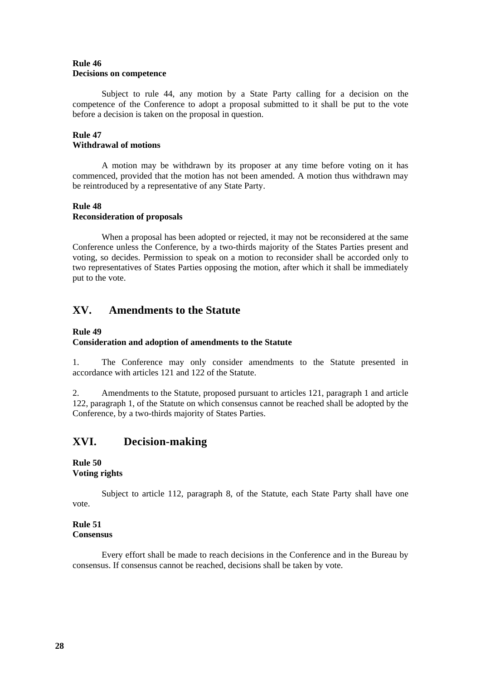## **Rule 46 Decisions on competence**

 Subject to rule 44, any motion by a State Party calling for a decision on the competence of the Conference to adopt a proposal submitted to it shall be put to the vote before a decision is taken on the proposal in question.

## **Rule 47 Withdrawal of motions**

 A motion may be withdrawn by its proposer at any time before voting on it has commenced, provided that the motion has not been amended. A motion thus withdrawn may be reintroduced by a representative of any State Party.

## **Rule 48**

## **Reconsideration of proposals**

 When a proposal has been adopted or rejected, it may not be reconsidered at the same Conference unless the Conference, by a two-thirds majority of the States Parties present and voting, so decides. Permission to speak on a motion to reconsider shall be accorded only to two representatives of States Parties opposing the motion, after which it shall be immediately put to the vote.

## **XV. Amendments to the Statute**

## **Rule 49**

## **Consideration and adoption of amendments to the Statute**

1. The Conference may only consider amendments to the Statute presented in accordance with articles 121 and 122 of the Statute.

2. Amendments to the Statute, proposed pursuant to articles 121, paragraph 1 and article 122, paragraph 1, of the Statute on which consensus cannot be reached shall be adopted by the Conference, by a two-thirds majority of States Parties.

## **XVI. Decision-making**

#### **Rule 50 Voting rights**

 Subject to article 112, paragraph 8, of the Statute, each State Party shall have one vote.

#### **Rule 51 Consensus**

 Every effort shall be made to reach decisions in the Conference and in the Bureau by consensus. If consensus cannot be reached, decisions shall be taken by vote.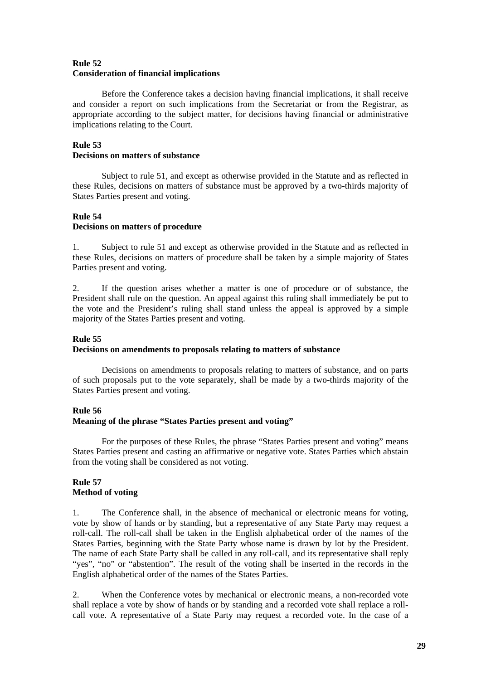## **Rule 52 Consideration of financial implications**

 Before the Conference takes a decision having financial implications, it shall receive and consider a report on such implications from the Secretariat or from the Registrar, as appropriate according to the subject matter, for decisions having financial or administrative implications relating to the Court.

### **Rule 53 Decisions on matters of substance**

 Subject to rule 51, and except as otherwise provided in the Statute and as reflected in these Rules, decisions on matters of substance must be approved by a two-thirds majority of States Parties present and voting.

## **Rule 54 Decisions on matters of procedure**

1. Subject to rule 51 and except as otherwise provided in the Statute and as reflected in these Rules, decisions on matters of procedure shall be taken by a simple majority of States Parties present and voting.

2. If the question arises whether a matter is one of procedure or of substance, the President shall rule on the question. An appeal against this ruling shall immediately be put to the vote and the President's ruling shall stand unless the appeal is approved by a simple majority of the States Parties present and voting.

## **Rule 55**

### **Decisions on amendments to proposals relating to matters of substance**

 Decisions on amendments to proposals relating to matters of substance, and on parts of such proposals put to the vote separately, shall be made by a two-thirds majority of the States Parties present and voting.

## **Rule 56**

## **Meaning of the phrase "States Parties present and voting"**

 For the purposes of these Rules, the phrase "States Parties present and voting" means States Parties present and casting an affirmative or negative vote. States Parties which abstain from the voting shall be considered as not voting.

## **Rule 57 Method of voting**

1. The Conference shall, in the absence of mechanical or electronic means for voting, vote by show of hands or by standing, but a representative of any State Party may request a roll-call. The roll-call shall be taken in the English alphabetical order of the names of the States Parties, beginning with the State Party whose name is drawn by lot by the President. The name of each State Party shall be called in any roll-call, and its representative shall reply "yes", "no" or "abstention". The result of the voting shall be inserted in the records in the English alphabetical order of the names of the States Parties.

2. When the Conference votes by mechanical or electronic means, a non-recorded vote shall replace a vote by show of hands or by standing and a recorded vote shall replace a rollcall vote. A representative of a State Party may request a recorded vote. In the case of a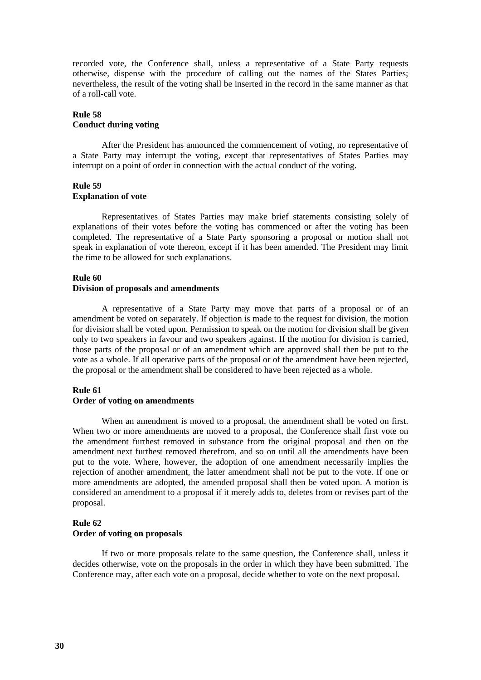recorded vote, the Conference shall, unless a representative of a State Party requests otherwise, dispense with the procedure of calling out the names of the States Parties; nevertheless, the result of the voting shall be inserted in the record in the same manner as that of a roll-call vote.

## **Rule 58 Conduct during voting**

 After the President has announced the commencement of voting, no representative of a State Party may interrupt the voting, except that representatives of States Parties may interrupt on a point of order in connection with the actual conduct of the voting.

### **Rule 59 Explanation of vote**

 Representatives of States Parties may make brief statements consisting solely of explanations of their votes before the voting has commenced or after the voting has been completed. The representative of a State Party sponsoring a proposal or motion shall not speak in explanation of vote thereon, except if it has been amended. The President may limit the time to be allowed for such explanations.

#### **Rule 60**

#### **Division of proposals and amendments**

 A representative of a State Party may move that parts of a proposal or of an amendment be voted on separately. If objection is made to the request for division, the motion for division shall be voted upon. Permission to speak on the motion for division shall be given only to two speakers in favour and two speakers against. If the motion for division is carried, those parts of the proposal or of an amendment which are approved shall then be put to the vote as a whole. If all operative parts of the proposal or of the amendment have been rejected, the proposal or the amendment shall be considered to have been rejected as a whole.

#### **Rule 61**

#### **Order of voting on amendments**

 When an amendment is moved to a proposal, the amendment shall be voted on first. When two or more amendments are moved to a proposal, the Conference shall first vote on the amendment furthest removed in substance from the original proposal and then on the amendment next furthest removed therefrom, and so on until all the amendments have been put to the vote. Where, however, the adoption of one amendment necessarily implies the rejection of another amendment, the latter amendment shall not be put to the vote. If one or more amendments are adopted, the amended proposal shall then be voted upon. A motion is considered an amendment to a proposal if it merely adds to, deletes from or revises part of the proposal.

## **Rule 62**

### **Order of voting on proposals**

 If two or more proposals relate to the same question, the Conference shall, unless it decides otherwise, vote on the proposals in the order in which they have been submitted. The Conference may, after each vote on a proposal, decide whether to vote on the next proposal.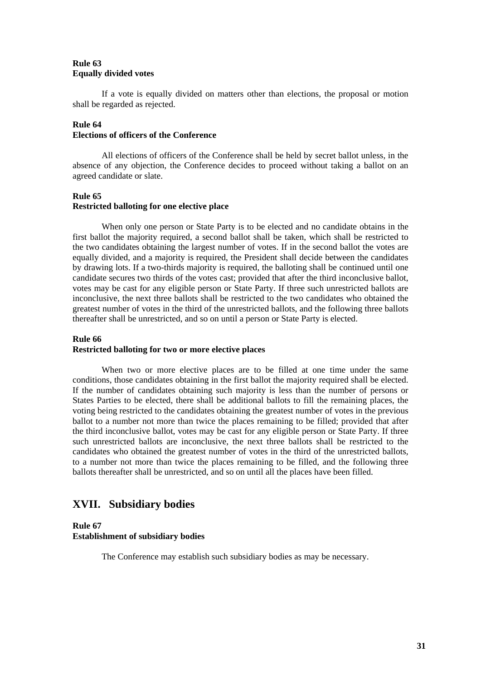## **Rule 63 Equally divided votes**

 If a vote is equally divided on matters other than elections, the proposal or motion shall be regarded as rejected.

#### **Rule 64**

### **Elections of officers of the Conference**

All elections of officers of the Conference shall be held by secret ballot unless, in the absence of any objection, the Conference decides to proceed without taking a ballot on an agreed candidate or slate.

#### **Rule 65**

#### **Restricted balloting for one elective place**

When only one person or State Party is to be elected and no candidate obtains in the first ballot the majority required, a second ballot shall be taken, which shall be restricted to the two candidates obtaining the largest number of votes. If in the second ballot the votes are equally divided, and a majority is required, the President shall decide between the candidates by drawing lots. If a two-thirds majority is required, the balloting shall be continued until one candidate secures two thirds of the votes cast; provided that after the third inconclusive ballot, votes may be cast for any eligible person or State Party. If three such unrestricted ballots are inconclusive, the next three ballots shall be restricted to the two candidates who obtained the greatest number of votes in the third of the unrestricted ballots, and the following three ballots thereafter shall be unrestricted, and so on until a person or State Party is elected.

#### **Rule 66**

## **Restricted balloting for two or more elective places**

When two or more elective places are to be filled at one time under the same conditions, those candidates obtaining in the first ballot the majority required shall be elected. If the number of candidates obtaining such majority is less than the number of persons or States Parties to be elected, there shall be additional ballots to fill the remaining places, the voting being restricted to the candidates obtaining the greatest number of votes in the previous ballot to a number not more than twice the places remaining to be filled; provided that after the third inconclusive ballot, votes may be cast for any eligible person or State Party. If three such unrestricted ballots are inconclusive, the next three ballots shall be restricted to the candidates who obtained the greatest number of votes in the third of the unrestricted ballots, to a number not more than twice the places remaining to be filled, and the following three ballots thereafter shall be unrestricted, and so on until all the places have been filled.

## **XVII. Subsidiary bodies**

#### **Rule 67**

## **Establishment of subsidiary bodies**

The Conference may establish such subsidiary bodies as may be necessary.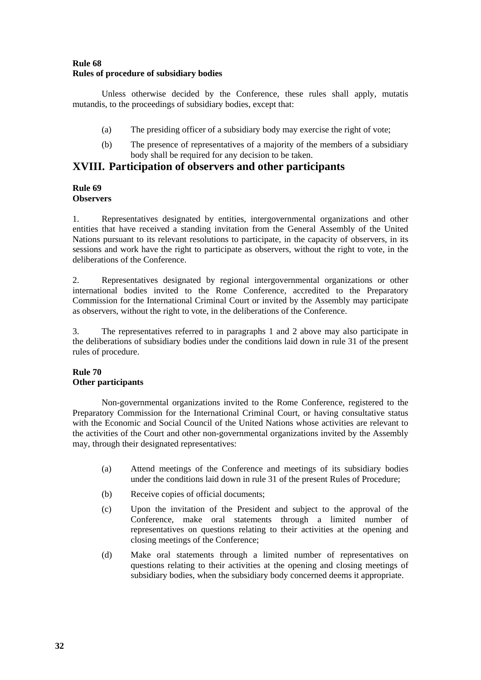## **Rule 68 Rules of procedure of subsidiary bodies**

 Unless otherwise decided by the Conference, these rules shall apply, mutatis mutandis, to the proceedings of subsidiary bodies, except that:

- (a) The presiding officer of a subsidiary body may exercise the right of vote;
- (b) The presence of representatives of a majority of the members of a subsidiary body shall be required for any decision to be taken.

## **XVIII. Participation of observers and other participants**

#### **Rule 69 Observers**

1. Representatives designated by entities, intergovernmental organizations and other entities that have received a standing invitation from the General Assembly of the United Nations pursuant to its relevant resolutions to participate, in the capacity of observers, in its sessions and work have the right to participate as observers, without the right to vote, in the deliberations of the Conference.

2. Representatives designated by regional intergovernmental organizations or other international bodies invited to the Rome Conference, accredited to the Preparatory Commission for the International Criminal Court or invited by the Assembly may participate as observers, without the right to vote, in the deliberations of the Conference.

3. The representatives referred to in paragraphs 1 and 2 above may also participate in the deliberations of subsidiary bodies under the conditions laid down in rule 31 of the present rules of procedure.

## **Rule 70 Other participants**

 Non-governmental organizations invited to the Rome Conference, registered to the Preparatory Commission for the International Criminal Court, or having consultative status with the Economic and Social Council of the United Nations whose activities are relevant to the activities of the Court and other non-governmental organizations invited by the Assembly may, through their designated representatives:

- (a) Attend meetings of the Conference and meetings of its subsidiary bodies under the conditions laid down in rule 31 of the present Rules of Procedure;
- (b) Receive copies of official documents;
- (c) Upon the invitation of the President and subject to the approval of the Conference, make oral statements through a limited number of representatives on questions relating to their activities at the opening and closing meetings of the Conference;
- (d) Make oral statements through a limited number of representatives on questions relating to their activities at the opening and closing meetings of subsidiary bodies, when the subsidiary body concerned deems it appropriate.